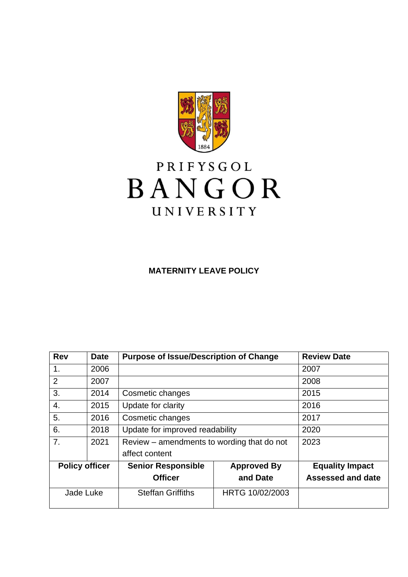

# PRIFYSGOL BANGOR UNIVERSITY

# **MATERNITY LEAVE POLICY**

| <b>Rev</b>            | <b>Date</b> | <b>Purpose of Issue/Description of Change</b> |                    | <b>Review Date</b>       |
|-----------------------|-------------|-----------------------------------------------|--------------------|--------------------------|
| 1 <sub>1</sub>        | 2006        |                                               |                    | 2007                     |
| $\overline{2}$        | 2007        |                                               |                    | 2008                     |
| 3.                    | 2014        | Cosmetic changes                              |                    | 2015                     |
| $\overline{4}$ .      | 2015        | Update for clarity                            |                    | 2016                     |
| 5.                    | 2016        | Cosmetic changes                              |                    | 2017                     |
| 6.                    | 2018        | Update for improved readability               |                    | 2020                     |
| 7.                    | 2021        | Review – amendments to wording that do not    |                    | 2023                     |
|                       |             | affect content                                |                    |                          |
| <b>Policy officer</b> |             | <b>Senior Responsible</b>                     | <b>Approved By</b> | <b>Equality Impact</b>   |
|                       |             | <b>Officer</b>                                | and Date           | <b>Assessed and date</b> |
| Jade Luke             |             | <b>Steffan Griffiths</b>                      | HRTG 10/02/2003    |                          |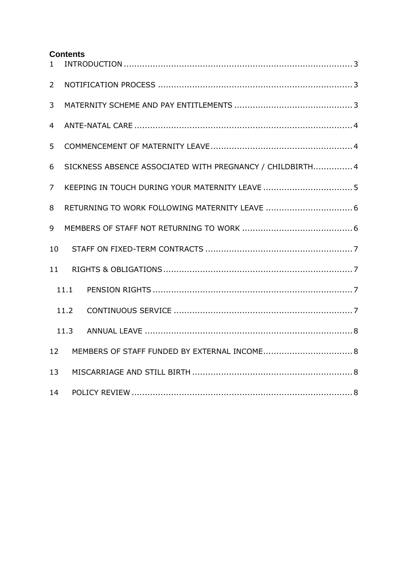#### **Contents**

| $\mathbf{1}$   |                                                           |  |  |  |  |  |
|----------------|-----------------------------------------------------------|--|--|--|--|--|
| $\overline{2}$ |                                                           |  |  |  |  |  |
| 3              |                                                           |  |  |  |  |  |
| $\overline{4}$ |                                                           |  |  |  |  |  |
| 5              |                                                           |  |  |  |  |  |
| 6              | SICKNESS ABSENCE ASSOCIATED WITH PREGNANCY / CHILDBIRTH 4 |  |  |  |  |  |
| $\overline{7}$ |                                                           |  |  |  |  |  |
| 8              |                                                           |  |  |  |  |  |
| 9              |                                                           |  |  |  |  |  |
| 10             |                                                           |  |  |  |  |  |
| 11             |                                                           |  |  |  |  |  |
|                | 11.1                                                      |  |  |  |  |  |
|                | 11.2                                                      |  |  |  |  |  |
|                | 11.3                                                      |  |  |  |  |  |
| 12             |                                                           |  |  |  |  |  |
| 13             |                                                           |  |  |  |  |  |
| 14             |                                                           |  |  |  |  |  |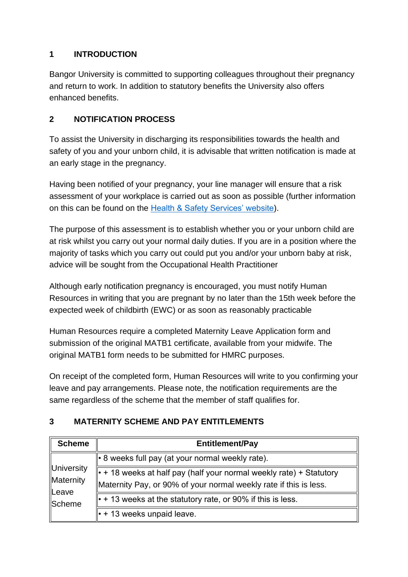# <span id="page-2-0"></span>**1 INTRODUCTION**

Bangor University is committed to supporting colleagues throughout their pregnancy and return to work. In addition to statutory benefits the University also offers enhanced benefits.

## <span id="page-2-1"></span>**2 NOTIFICATION PROCESS**

To assist the University in discharging its responsibilities towards the health and safety of you and your unborn child, it is advisable that written notification is made at an early stage in the pregnancy.

Having been notified of your pregnancy, your line manager will ensure that a risk assessment of your workplace is carried out as soon as possible (further information on this can be found on the [Health & Safety Services' website\)](https://www.bangor.ac.uk/hss/inflink/expectantandnewmothers.php.en).

The purpose of this assessment is to establish whether you or your unborn child are at risk whilst you carry out your normal daily duties. If you are in a position where the majority of tasks which you carry out could put you and/or your unborn baby at risk, advice will be sought from the Occupational Health Practitioner

Although early notification pregnancy is encouraged, you must notify Human Resources in writing that you are pregnant by no later than the 15th week before the expected week of childbirth (EWC) or as soon as reasonably practicable

Human Resources require a completed Maternity Leave Application form and submission of the original MATB1 certificate, available from your midwife. The original MATB1 form needs to be submitted for HMRC purposes.

On receipt of the completed form, Human Resources will write to you confirming your leave and pay arrangements. Please note, the notification requirements are the same regardless of the scheme that the member of staff qualifies for.

#### <span id="page-2-2"></span>**3 MATERNITY SCHEME AND PAY ENTITLEMENTS**

| <b>Scheme</b>                                     | <b>Entitlement/Pay</b>                                                                                                                   |
|---------------------------------------------------|------------------------------------------------------------------------------------------------------------------------------------------|
| University<br>Maternity<br>Leave<br><b>Scheme</b> | l • 8 weeks full pay (at your normal weekly rate).                                                                                       |
|                                                   | • + 18 weeks at half pay (half your normal weekly rate) + Statutory<br>Maternity Pay, or 90% of your normal weekly rate if this is less. |
|                                                   | $\  \cdot +$ 13 weeks at the statutory rate, or 90% if this is less.                                                                     |
|                                                   | $\cdot$ + 13 weeks unpaid leave.                                                                                                         |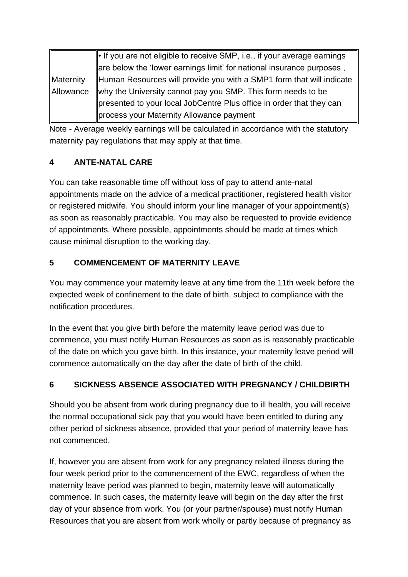Maternity Allowance  $\| \cdot \|$  if you are not eligible to receive SMP, i.e., if your average earnings  $\parallel$  are below the 'lower earnings limit' for national insurance purposes, Human Resources will provide you with a SMP1 form that will indicate why the University cannot pay you SMP. This form needs to be presented to your local JobCentre Plus office in order that they can process your Maternity Allowance payment

Note - Average weekly earnings will be calculated in accordance with the statutory maternity pay regulations that may apply at that time.

# <span id="page-3-0"></span>**4 ANTE-NATAL CARE**

You can take reasonable time off without loss of pay to attend ante-natal appointments made on the advice of a medical practitioner, registered health visitor or registered midwife. You should inform your line manager of your appointment(s) as soon as reasonably practicable. You may also be requested to provide evidence of appointments. Where possible, appointments should be made at times which cause minimal disruption to the working day.

# <span id="page-3-1"></span>**5 COMMENCEMENT OF MATERNITY LEAVE**

You may commence your maternity leave at any time from the 11th week before the expected week of confinement to the date of birth, subject to compliance with the notification procedures.

In the event that you give birth before the maternity leave period was due to commence, you must notify Human Resources as soon as is reasonably practicable of the date on which you gave birth. In this instance, your maternity leave period will commence automatically on the day after the date of birth of the child.

# <span id="page-3-2"></span>**6 SICKNESS ABSENCE ASSOCIATED WITH PREGNANCY / CHILDBIRTH**

Should you be absent from work during pregnancy due to ill health, you will receive the normal occupational sick pay that you would have been entitled to during any other period of sickness absence, provided that your period of maternity leave has not commenced.

If, however you are absent from work for any pregnancy related illness during the four week period prior to the commencement of the EWC, regardless of when the maternity leave period was planned to begin, maternity leave will automatically commence. In such cases, the maternity leave will begin on the day after the first day of your absence from work. You (or your partner/spouse) must notify Human Resources that you are absent from work wholly or partly because of pregnancy as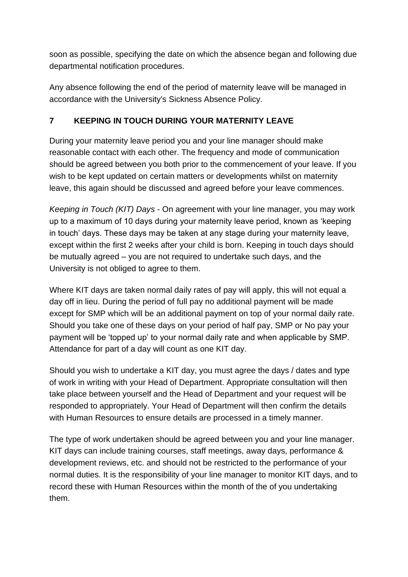soon as possible, specifying the date on which the absence began and following due departmental notification procedures.

Any absence following the end of the period of maternity leave will be managed in accordance with the University's Sickness Absence Policy.

#### <span id="page-4-0"></span>**7 KEEPING IN TOUCH DURING YOUR MATERNITY LEAVE**

During your maternity leave period you and your line manager should make reasonable contact with each other. The frequency and mode of communication should be agreed between you both prior to the commencement of your leave. If you wish to be kept updated on certain matters or developments whilst on maternity leave, this again should be discussed and agreed before your leave commences.

*Keeping in Touch (KIT) Days* - On agreement with your line manager, you may work up to a maximum of 10 days during your maternity leave period, known as 'keeping in touch' days. These days may be taken at any stage during your maternity leave, except within the first 2 weeks after your child is born. Keeping in touch days should be mutually agreed – you are not required to undertake such days, and the University is not obliged to agree to them.

Where KIT days are taken normal daily rates of pay will apply, this will not equal a day off in lieu. During the period of full pay no additional payment will be made except for SMP which will be an additional payment on top of your normal daily rate. Should you take one of these days on your period of half pay, SMP or No pay your payment will be 'topped up' to your normal daily rate and when applicable by SMP. Attendance for part of a day will count as one KIT day.

Should you wish to undertake a KIT day, you must agree the days / dates and type of work in writing with your Head of Department. Appropriate consultation will then take place between yourself and the Head of Department and your request will be responded to appropriately. Your Head of Department will then confirm the details with Human Resources to ensure details are processed in a timely manner.

The type of work undertaken should be agreed between you and your line manager. KIT days can include training courses, staff meetings, away days, performance & development reviews, etc. and should not be restricted to the performance of your normal duties. It is the responsibility of your line manager to monitor KIT days, and to record these with Human Resources within the month of the of you undertaking them.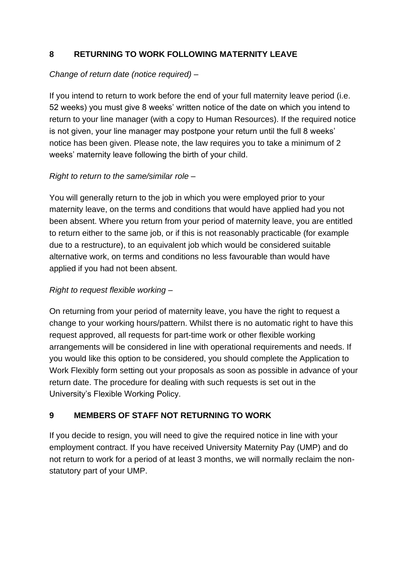#### <span id="page-5-0"></span>**8 RETURNING TO WORK FOLLOWING MATERNITY LEAVE**

#### *Change of return date (notice required) –*

If you intend to return to work before the end of your full maternity leave period (i.e. 52 weeks) you must give 8 weeks' written notice of the date on which you intend to return to your line manager (with a copy to Human Resources). If the required notice is not given, your line manager may postpone your return until the full 8 weeks' notice has been given. Please note, the law requires you to take a minimum of 2 weeks' maternity leave following the birth of your child.

#### *Right to return to the same/similar role –*

You will generally return to the job in which you were employed prior to your maternity leave, on the terms and conditions that would have applied had you not been absent. Where you return from your period of maternity leave, you are entitled to return either to the same job, or if this is not reasonably practicable (for example due to a restructure), to an equivalent job which would be considered suitable alternative work, on terms and conditions no less favourable than would have applied if you had not been absent.

#### *Right to request flexible working –*

On returning from your period of maternity leave, you have the right to request a change to your working hours/pattern. Whilst there is no automatic right to have this request approved, all requests for part-time work or other flexible working arrangements will be considered in line with operational requirements and needs. If you would like this option to be considered, you should complete the Application to Work Flexibly form setting out your proposals as soon as possible in advance of your return date. The procedure for dealing with such requests is set out in the University's Flexible Working Policy.

#### <span id="page-5-1"></span>**9 MEMBERS OF STAFF NOT RETURNING TO WORK**

If you decide to resign, you will need to give the required notice in line with your employment contract. If you have received University Maternity Pay (UMP) and do not return to work for a period of at least 3 months, we will normally reclaim the nonstatutory part of your UMP.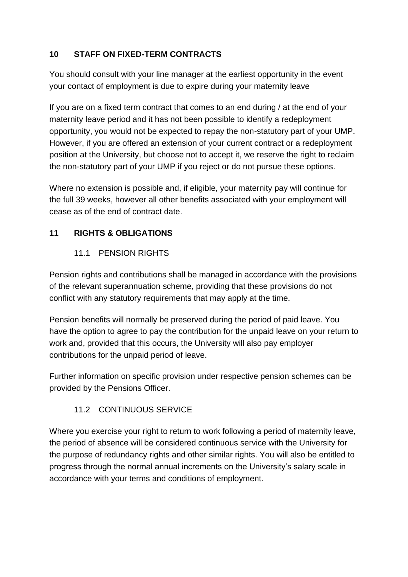## <span id="page-6-0"></span>**10 STAFF ON FIXED-TERM CONTRACTS**

You should consult with your line manager at the earliest opportunity in the event your contact of employment is due to expire during your maternity leave

If you are on a fixed term contract that comes to an end during / at the end of your maternity leave period and it has not been possible to identify a redeployment opportunity, you would not be expected to repay the non-statutory part of your UMP. However, if you are offered an extension of your current contract or a redeployment position at the University, but choose not to accept it, we reserve the right to reclaim the non-statutory part of your UMP if you reject or do not pursue these options.

Where no extension is possible and, if eligible, your maternity pay will continue for the full 39 weeks, however all other benefits associated with your employment will cease as of the end of contract date.

## <span id="page-6-2"></span><span id="page-6-1"></span>**11 RIGHTS & OBLIGATIONS**

#### 11.1 PENSION RIGHTS

Pension rights and contributions shall be managed in accordance with the provisions of the relevant superannuation scheme, providing that these provisions do not conflict with any statutory requirements that may apply at the time.

Pension benefits will normally be preserved during the period of paid leave. You have the option to agree to pay the contribution for the unpaid leave on your return to work and, provided that this occurs, the University will also pay employer contributions for the unpaid period of leave.

Further information on specific provision under respective pension schemes can be provided by the Pensions Officer.

#### 11.2 CONTINUOUS SERVICE

<span id="page-6-3"></span>Where you exercise your right to return to work following a period of maternity leave, the period of absence will be considered continuous service with the University for the purpose of redundancy rights and other similar rights. You will also be entitled to progress through the normal annual increments on the University's salary scale in accordance with your terms and conditions of employment.